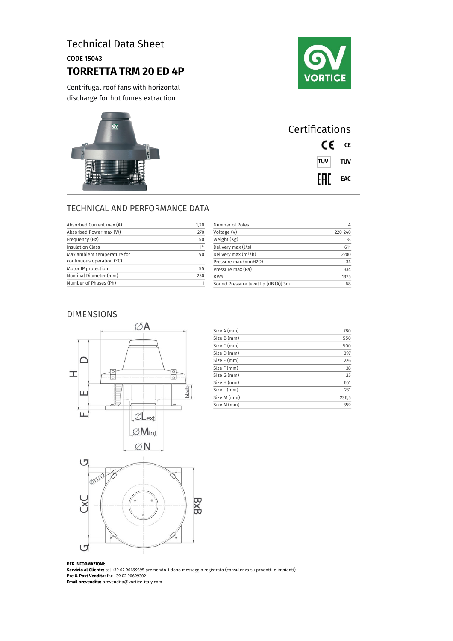# Technical Data Sheet

CODE 15043

## **TORRETTA TRM 20 ED 4P**



Centrifugal roof fans with horizontal discharge for hot fumes extraction



| Certifications |  |  |
|----------------|--|--|
| CE CE          |  |  |
| <b>TUV</b> TUV |  |  |
| <b>FHI</b> EAC |  |  |

## TECHNICAL AND PERFORMANCE DATA

| Absorbed Current max (A)    | 1,20            | Number of Poles                     | $\frac{1}{2}$ |
|-----------------------------|-----------------|-------------------------------------|---------------|
| Absorbed Power max (W)      | 270             | Voltage (V)                         | 220-240       |
| Frequency (Hz)              | 50              | Weight (Kg)                         | 33            |
| <b>Insulation Class</b>     | $\overline{10}$ | Delivery max (I/s)                  | 611           |
| Max ambient temperature for | 90              | Delivery max $(m^3/h)$              | 2200          |
| continuous operation $(°C)$ |                 | Pressure max (mmH2O)                | 34            |
| Motor IP protection         | 55              | Pressure max (Pa)                   | 334           |
| Nominal Diameter (mm)       | 250             | <b>RPM</b>                          | 1375          |
| Number of Phases (Ph)       |                 | Sound Pressure level Lp [dB (A)] 3m | 68            |

### DIMENSIONS



| Size A (mm) | 780   |
|-------------|-------|
| Size B (mm) | 550   |
| Size C (mm) | 500   |
| Size D (mm) | 397   |
| Size E (mm) | 226   |
| Size F (mm) | 38    |
| Size G (mm) | 25    |
| Size H (mm) | 661   |
| Size L (mm) | 231   |
| Size M (mm) | 236,5 |
| Size N (mm) | 359   |
|             |       |



#### **PER INFORMAZIONI:**

**Servizio al Cliente:** tel +39 02 90699395 premendo 1 dopo messaggio registrato (consulenza su prodotti e impianti) **Pre & Post Vendita:** fax +39 02 90699302 **Email prevendita:** prevendita@vortice-italy.com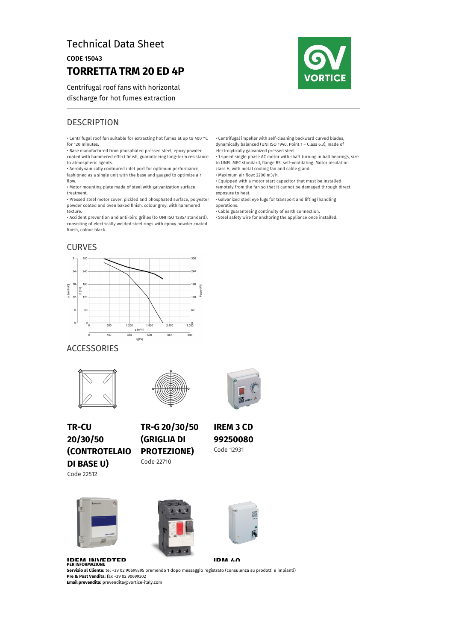## Technical Data Sheet

CODE 15043

## **TORRETTA TRM 20 ED 4P**

Centrifugal roof fans with horizontal discharge for hot fumes extraction



## **DESCRIPTION**

• Centrifugal roof fan suitable for extracting hot fumes at up to 400 °C for 120 minutes.

• Base manufactured from phosphated pressed steel, epoxy powder coated with hammered effect finish, guaranteeing long-term resistance

to atmospheric agents. • Aerodynamically contoured inlet port for optimum performance, fashioned as a single unit with the base and gauged to optimize air

flow. • Motor mounting plate made of steel with galvanization surface

treatment.

• Pressed steel motor cover: pickled and phosphated surface, polyester powder coated and oven baked finish, colour grey, with hammered texture.

• Accident prevention and anti-bird grilles (to UNI ISO 13857 standard), consisting of electrically welded steel rings with epoxy powder coated finish, colour black.

### CURVES



• Centrifugal impeller with self-cleaning backward curved blades, dynamically balanced (UNI ISO 1940, Point 1 – Class 6.3), made of

electrolytically galvanized pressed steel. • 1 speed single phase AC motor with shaft turning in ball bearings, size to UNEL MEC standard, flange B5, self-ventilating. Motor insulation class H, with metal cooling fan and cable gland.

• Maximum air flow: 2200 m3/h.

• Equipped with a motor start capacitor that must be installed remotely from the fan so that it cannot be damaged through direct exposure to heat.

• Galvanized steel eye lugs for transport and lifting/handling operations.

• Cable guaranteeing continuity of earth connection.

• Steel safety wire for anchoring the appliance once installed.

### ACCESSORIES





**TR-CU 20/30/50 (CONTROTELAIO DI BASE U)** Code 22512

**(GRIGLIA DI PROTEZIONE)** Code 22710

**TR-G 20/30/50**



**IREM 3 CD 99250080** Code 12931





**IDM 40** 

**IDEM INIVEDTED**<br>PER INFORMAZIONI: **5ervizio al Cliente:** tel +39 02 90699395 p<br>**Pre & Post Vendita:** fax +39 02 90699302 **Email prevendita:** prevendita@vortice-italy.com **Servizio al Cliente:** tel +39 02 90699395 premendo 1 dopo messaggio registrato (consulenza su prodotti e impianti)<br>**Pre & Post Vendita:** fax +39 02 90699392